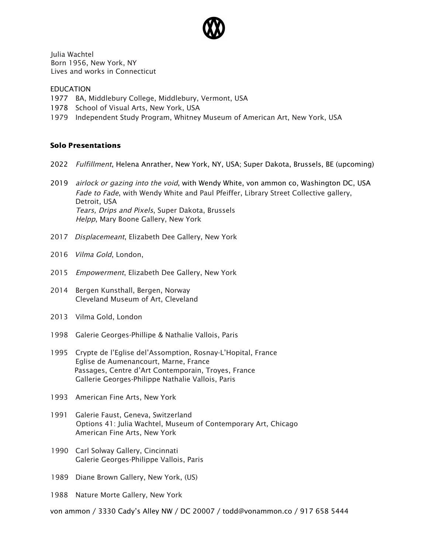

Julia Wachtel Born 1956, New York, NY Lives and works in Connecticut

## EDUCATION

- 1977 BA, Middlebury College, Middlebury, Vermont, USA
- 1978 School of Visual Arts, New York, USA
- 1979 Independent Study Program, Whitney Museum of American Art, New York, USA

## Solo Presentations

- 2022 Fulfillment, Helena Anrather, New York, NY, USA; Super Dakota, Brussels, BE (upcoming)
- 2019 airlock or gazing into the void, with Wendy White, von ammon co, Washington DC, USA Fade to Fade, with Wendy White and Paul Pfeiffer, Library Street Collective gallery, Detroit, USA Tears, Drips and Pixels, Super Dakota, Brussels Helpp, Mary Boone Gallery, New York
- 2017 Displacemeant, Elizabeth Dee Gallery, New York
- 2016 Vilma Gold, London,
- 2015 Empowerment, Elizabeth Dee Gallery, New York
- 2014 Bergen Kunsthall, Bergen, Norway Cleveland Museum of Art, Cleveland
- 2013 Vilma Gold, London
- 1998 Galerie Georges-Phillipe & Nathalie Vallois, Paris
- 1995 Crypte de l'Eglise del'Assomption, Rosnay-L'Hopital, France Eglise de Aumenancourt, Marne, France Passages, Centre d'Art Contemporain, Troyes, France Gallerie Georges-Philippe Nathalie Vallois, Paris
- 1993 American Fine Arts, New York
- 1991 Galerie Faust, Geneva, Switzerland Options 41: Julia Wachtel, Museum of Contemporary Art, Chicago American Fine Arts, New York
- 1990 Carl Solway Gallery, Cincinnati Galerie Georges-Philippe Vallois, Paris
- 1989 Diane Brown Gallery, New York, (US)
- 1988 Nature Morte Gallery, New York
- von ammon / 3330 Cady's Alley NW / DC 20007 / todd@vonammon.co / 917 658 5444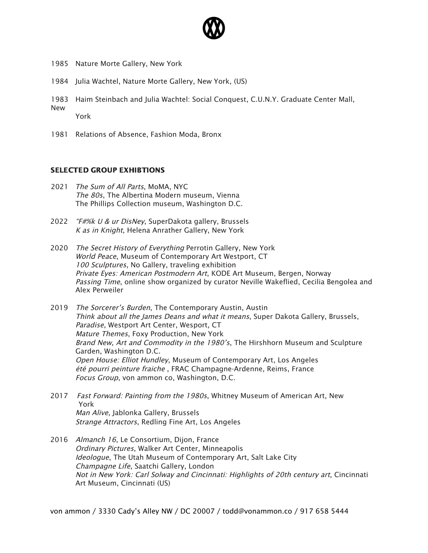

- 1985 Nature Morte Gallery, New York
- 1984 Julia Wachtel, Nature Morte Gallery, New York, (US)
- 1983 Haim Steinbach and Julia Wachtel: Social Conquest, C.U.N.Y. Graduate Center Mall, New York
- 1981 Relations of Absence, Fashion Moda, Bronx

## SELECTED GROUP EXHIBTIONS

- 2021 The Sum of All Parts, MoMA, NYC The 80s, The Albertina Modern museum, Vienna The Phillips Collection museum, Washington D.C.
- 2022 "F#%k U & ur DisNey, SuperDakota gallery, Brussels K as in Knight, Helena Anrather Gallery, New York
- 2020 The Secret History of Everything Perrotin Gallery, New York World Peace, Museum of Contemporary Art Westport, CT 100 Sculptures, No Gallery, traveling exhibition Private Eyes: American Postmodern Art, KODE Art Museum, Bergen, Norway Passing Time, online show organized by curator Neville Wakeflied, Cecilia Bengolea and Alex Perweiler
- 2019 The Sorcerer's Burden, The Contemporary Austin, Austin Think about all the James Deans and what it means, Super Dakota Gallery, Brussels, Paradise, Westport Art Center, Wesport, CT Mature Themes, Foxy Production, New York Brand New, Art and Commodity in the 1980's, The Hirshhorn Museum and Sculpture Garden, Washington D.C. Open House: Elliot Hundley, Museum of Contemporary Art, Los Angeles été pourri peinture fraiche , FRAC Champagne-Ardenne, Reims, France Focus Group, von ammon co, Washington, D.C.
- 2017 Fast Forward: Painting from the 1980s, Whitney Museum of American Art, New York Man Alive, Jablonka Gallery, Brussels Strange Attractors, Redling Fine Art, Los Angeles
- 2016 Almanch 16, Le Consortium, Dijon, France Ordinary Pictures, Walker Art Center, Minneapolis Ideologue, The Utah Museum of Contemporary Art, Salt Lake City Champagne Life, Saatchi Gallery, London Not in New York: Carl Solway and Cincinnati: Highlights of 20th century art, Cincinnati Art Museum, Cincinnati (US)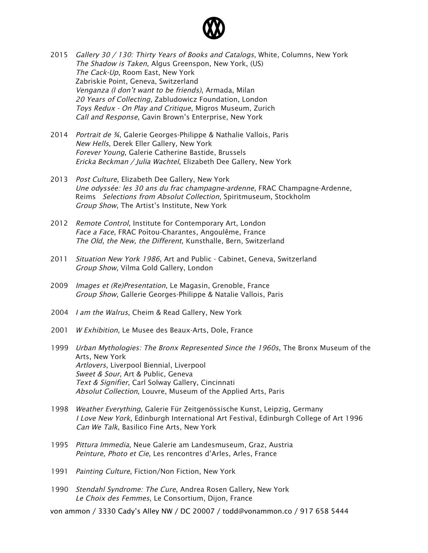

- 2015 Gallery 30 / 130: Thirty Years of Books and Catalogs, White, Columns, New York The Shadow is Taken, Algus Greenspon, New York, (US) The Cack-Up, Room East, New York Zabriskie Point, Geneva, Switzerland Venganza (I don't want to be friends), Armada, Milan 20 Years of Collecting, Zabludowicz Foundation, London Toys Redux - On Play and Critique, Migros Museum, Zurich Call and Response, Gavin Brown's Enterprise, New York
- 2014 Portrait de ¾, Galerie Georges-Philippe & Nathalie Vallois, Paris New Hells, Derek Eller Gallery, New York Forever Young, Galerie Catherine Bastide, Brussels Ericka Beckman / Julia Wachtel, Elizabeth Dee Gallery, New York
- 2013 Post Culture, Elizabeth Dee Gallery, New York Une odyssée: les 30 ans du frac champagne-ardenne, FRAC Champagne-Ardenne, Reims Selections from Absolut Collection, Spiritmuseum, Stockholm Group Show, The Artist's Institute, New York
- 2012 Remote Control, Institute for Contemporary Art, London Face <sup>a</sup> Face, FRAC Poìtou-Charantes, Angoulême, France The Old, the New, the Different, Kunsthalle, Bern, Switzerland
- 2011 Situation New York 1986, Art and Public Cabinet, Geneva, Switzerland Group Show, Vilma Gold Gallery, London
- 2009 *Images et (Re)Presentation*, Le Magasin, Grenoble, France Group Show, Gallerie Georges-Philippe & Natalie Vallois, Paris
- 2004 I am the Walrus, Cheim & Read Gallery, New York
- 2001 W Exhibition, Le Musee des Beaux-Arts, Dole, France
- 1999 *Urban Mythologies: The Bronx Represented Since the 1960s*, The Bronx Museum of the Arts, New York Artlovers, Liverpool Biennial, Liverpool Sweet & Sour, Art & Public, Geneva Text & Signifier, Carl Solway Gallery, Cincinnati Absolut Collection, Louvre, Museum of the Applied Arts, Paris
- 1998 Weather Everything, Galerie Für Zeitgenössische Kunst, Leipzig, Germany I Love New York, Edinburgh International Art Festival, Edinburgh College of Art 1996 Can We Talk, Basilico Fine Arts, New York
- 1995 Pittura Immedia, Neue Galerie am Landesmuseum, Graz, Austria Peinture, Photo et Cie, Les rencontres d'Arles, Arles, France
- 1991 Painting Culture, Fiction/Non Fiction, New York
- 1990 Stendahl Syndrome: The Cure, Andrea Rosen Gallery, New York Le Choix des Femmes, Le Consortium, Dijon, France

von ammon / 3330 Cady's Alley NW / DC 20007 / todd@vonammon.co / 917 658 5444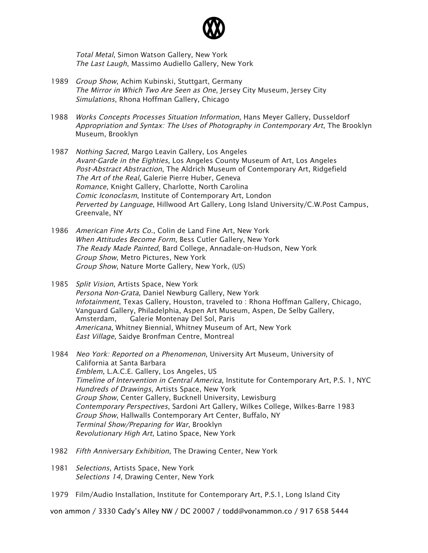

Total Metal, Simon Watson Gallery, New York The Last Laugh, Massimo Audiello Gallery, New York

- 1989 Group Show, Achim Kubinski, Stuttgart, Germany The Mirror in Which Two Are Seen as One, Jersey City Museum, Jersey City Simulations, Rhona Hoffman Gallery, Chicago
- 1988 Works Concepts Processes Situation Information, Hans Meyer Gallery, Dusseldorf Appropriation and Syntax: The Uses of Photography in Contemporary Art, The Brooklyn Museum, Brooklyn
- 1987 Nothing Sacred, Margo Leavin Gallery, Los Angeles Avant-Garde in the Eighties, Los Angeles County Museum of Art, Los Angeles Post-Abstract Abstraction, The Aldrich Museum of Contemporary Art, Ridgefield The Art of the Real, Galerie Pierre Huber, Geneva Romance, Knight Gallery, Charlotte, North Carolina Comic Iconoclasm, Institute of Contemporary Art, London Perverted by Language, Hillwood Art Gallery, Long Island University/C.W.Post Campus, Greenvale, NY
- 1986 American Fine Arts Co., Colin de Land Fine Art, New York When Attitudes Become Form, Bess Cutler Gallery, New York The Ready Made Painted, Bard College, Annadale-on-Hudson, New York Group Show, Metro Pictures, New York Group Show, Nature Morte Gallery, New York, (US)
- 1985 Split Vision, Artists Space, New York Persona Non-Grata, Daniel Newburg Gallery, New York Infotainment, Texas Gallery, Houston, traveled to : Rhona Hoffman Gallery, Chicago, Vanguard Gallery, Philadelphia, Aspen Art Museum, Aspen, De Selby Gallery, Amsterdam, Galerie Montenay Del Sol, Paris Americana, Whitney Biennial, Whitney Museum of Art, New York East Village, Saidye Bronfman Centre, Montreal
- 1984 Neo York: Reported on a Phenomenon, University Art Museum, University of California at Santa Barbara Emblem, L.A.C.E. Gallery, Los Angeles, US Timeline of Intervention in Central America, Institute for Contemporary Art, P.S. 1, NYC Hundreds of Drawings, Artists Space, New York Group Show, Center Gallery, Bucknell University, Lewisburg Contemporary Perspectives, Sardoni Art Gallery, Wilkes College, Wilkes-Barre 1983 Group Show, Hallwalls Contemporary Art Center, Buffalo, NY Terminal Show/Preparing for War, Brooklyn Revolutionary High Art, Latino Space, New York
- 1982 Fifth Anniversary Exhibition, The Drawing Center, New York
- 1981 Selections, Artists Space, New York Selections 14, Drawing Center, New York
- 1979 Film/Audio Installation, Institute for Contemporary Art, P.S.1, Long Island City

von ammon / 3330 Cady's Alley NW / DC 20007 / todd@vonammon.co / 917 658 5444